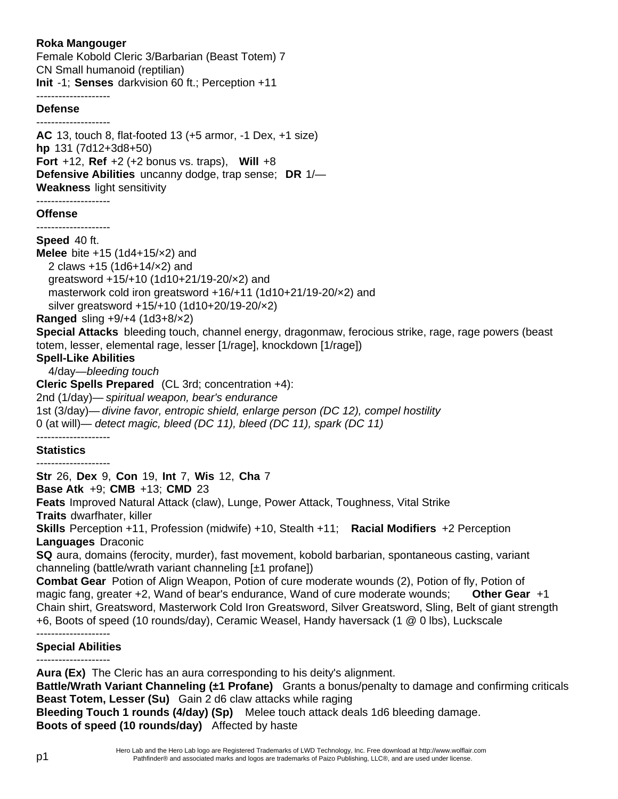## **Roka Mangouger**

Female Kobold Cleric 3/Barbarian (Beast Totem) 7 CN Small humanoid (reptilian) **Init** -1; **Senses** darkvision 60 ft.; Perception +11

## --------------------

#### **Defense**

-------------------- **AC** 13, touch 8, flat-footed 13 (+5 armor, -1 Dex, +1 size) **hp** 131 (7d12+3d8+50) **Fort** +12, **Ref** +2 (+2 bonus vs. traps), **Will** +8 **Defensive Abilities** uncanny dodge, trap sense; **DR** 1/— **Weakness** light sensitivity

#### -------------------- **Offense**

--------------------

### **Speed** 40 ft.

**Melee** bite +15 (1d4+15/×2) and 2 claws +15 (1d6+14/×2) and greatsword +15/+10 (1d10+21/19-20/×2) and masterwork cold iron greatsword +16/+11 (1d10+21/19-20/×2) and silver greatsword +15/+10 (1d10+20/19-20/×2)

**Ranged** sling +9/+4 (1d3+8/×2)

**Special Attacks** bleeding touch, channel energy, dragonmaw, ferocious strike, rage, rage powers (beast totem, lesser, elemental rage, lesser [1/rage], knockdown [1/rage])

### **Spell-Like Abilities**

4/day—*bleeding touch*

**Cleric Spells Prepared** (CL 3rd; concentration +4):

2nd (1/day)— *spiritual weapon, bear's endurance*

1st (3/day)— *divine favor, entropic shield, enlarge person (DC 12), compel hostility*

0 (at will)— *detect magic, bleed (DC 11), bleed (DC 11), spark (DC 11)*

# --------------------

## **Statistics**

--------------------

**Str** 26, **Dex** 9, **Con** 19, **Int** 7, **Wis** 12, **Cha** 7

**Base Atk** +9;**CMB** +13; **CMD** 23

**Feats** Improved Natural Attack (claw), Lunge, Power Attack, Toughness, Vital Strike **Traits** dwarfhater, killer

**Skills** Perception +11, Profession (midwife) +10, Stealth +11; **Racial Modifiers** +2 Perception **Languages** Draconic

**SQ** aura, domains (ferocity, murder), fast movement, kobold barbarian, spontaneous casting, variant channeling (battle/wrath variant channeling [±1 profane])

**Combat Gear** Potion of Align Weapon, Potion of cure moderate wounds (2), Potion of fly, Potion of magic fang, greater +2, Wand of bear's endurance, Wand of cure moderate wounds; **Other Gear** +1 Chain shirt, Greatsword, Masterwork Cold Iron Greatsword, Silver Greatsword, Sling, Belt of giant strength +6, Boots of speed (10 rounds/day), Ceramic Weasel, Handy haversack (1 @ 0 lbs), Luckscale

#### -------------------- **Special Abilities**

**Aura (Ex)** The Cleric has an aura corresponding to his deity's alignment.

**Battle/Wrath Variant Channeling (±1 Profane)** Grants a bonus/penalty to damage and confirming criticals **Beast Totem, Lesser (Su)** Gain 2 d6 claw attacks while raging

**Bleeding Touch 1 rounds (4/day) (Sp)** Melee touch attack deals 1d6 bleeding damage. **Boots of speed (10 rounds/day)** Affected by haste